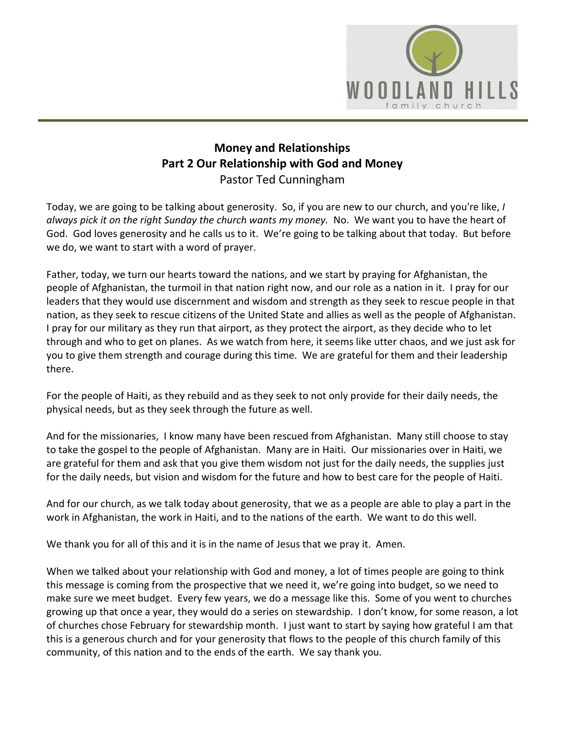

## **Money and Relationships Part 2 Our Relationship with God and Money** Pastor Ted Cunningham

Today, we are going to be talking about generosity. So, if you are new to our church, and you're like, *I always pick it on the right Sunday the church wants my money.* No. We want you to have the heart of God. God loves generosity and he calls us to it. We're going to be talking about that today. But before we do, we want to start with a word of prayer.

Father, today, we turn our hearts toward the nations, and we start by praying for Afghanistan, the people of Afghanistan, the turmoil in that nation right now, and our role as a nation in it. I pray for our leaders that they would use discernment and wisdom and strength as they seek to rescue people in that nation, as they seek to rescue citizens of the United State and allies as well as the people of Afghanistan. I pray for our military as they run that airport, as they protect the airport, as they decide who to let through and who to get on planes. As we watch from here, it seems like utter chaos, and we just ask for you to give them strength and courage during this time. We are grateful for them and their leadership there.

For the people of Haiti, as they rebuild and as they seek to not only provide for their daily needs, the physical needs, but as they seek through the future as well.

And for the missionaries, I know many have been rescued from Afghanistan. Many still choose to stay to take the gospel to the people of Afghanistan. Many are in Haiti. Our missionaries over in Haiti, we are grateful for them and ask that you give them wisdom not just for the daily needs, the supplies just for the daily needs, but vision and wisdom for the future and how to best care for the people of Haiti.

And for our church, as we talk today about generosity, that we as a people are able to play a part in the work in Afghanistan, the work in Haiti, and to the nations of the earth. We want to do this well.

We thank you for all of this and it is in the name of Jesus that we pray it. Amen.

When we talked about your relationship with God and money, a lot of times people are going to think this message is coming from the prospective that we need it, we're going into budget, so we need to make sure we meet budget. Every few years, we do a message like this. Some of you went to churches growing up that once a year, they would do a series on stewardship. I don't know, for some reason, a lot of churches chose February for stewardship month. I just want to start by saying how grateful I am that this is a generous church and for your generosity that flows to the people of this church family of this community, of this nation and to the ends of the earth. We say thank you.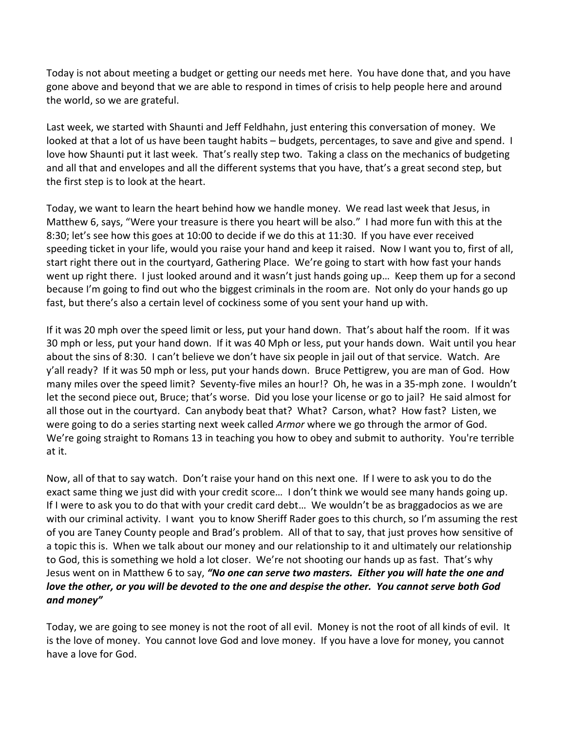Today is not about meeting a budget or getting our needs met here. You have done that, and you have gone above and beyond that we are able to respond in times of crisis to help people here and around the world, so we are grateful.

Last week, we started with Shaunti and Jeff Feldhahn, just entering this conversation of money. We looked at that a lot of us have been taught habits – budgets, percentages, to save and give and spend. I love how Shaunti put it last week. That's really step two. Taking a class on the mechanics of budgeting and all that and envelopes and all the different systems that you have, that's a great second step, but the first step is to look at the heart.

Today, we want to learn the heart behind how we handle money. We read last week that Jesus, in Matthew 6, says, "Were your treasure is there you heart will be also." I had more fun with this at the 8:30; let's see how this goes at 10:00 to decide if we do this at 11:30. If you have ever received speeding ticket in your life, would you raise your hand and keep it raised. Now I want you to, first of all, start right there out in the courtyard, Gathering Place. We're going to start with how fast your hands went up right there. I just looked around and it wasn't just hands going up… Keep them up for a second because I'm going to find out who the biggest criminals in the room are. Not only do your hands go up fast, but there's also a certain level of cockiness some of you sent your hand up with.

If it was 20 mph over the speed limit or less, put your hand down. That's about half the room. If it was 30 mph or less, put your hand down. If it was 40 Mph or less, put your hands down. Wait until you hear about the sins of 8:30. I can't believe we don't have six people in jail out of that service. Watch. Are y'all ready? If it was 50 mph or less, put your hands down. Bruce Pettigrew, you are man of God. How many miles over the speed limit? Seventy-five miles an hour!? Oh, he was in a 35-mph zone. I wouldn't let the second piece out, Bruce; that's worse. Did you lose your license or go to jail? He said almost for all those out in the courtyard. Can anybody beat that? What? Carson, what? How fast? Listen, we were going to do a series starting next week called *Armor* where we go through the armor of God. We're going straight to Romans 13 in teaching you how to obey and submit to authority. You're terrible at it.

Now, all of that to say watch. Don't raise your hand on this next one. If I were to ask you to do the exact same thing we just did with your credit score… I don't think we would see many hands going up. If I were to ask you to do that with your credit card debt… We wouldn't be as braggadocios as we are with our criminal activity. I want you to know Sheriff Rader goes to this church, so I'm assuming the rest of you are Taney County people and Brad's problem. All of that to say, that just proves how sensitive of a topic this is. When we talk about our money and our relationship to it and ultimately our relationship to God, this is something we hold a lot closer. We're not shooting our hands up as fast. That's why Jesus went on in Matthew 6 to say, *"No one can serve two masters. Either you will hate the one and love the other, or you will be devoted to the one and despise the other. You cannot serve both God and money"*

Today, we are going to see money is not the root of all evil. Money is not the root of all kinds of evil. It is the love of money. You cannot love God and love money. If you have a love for money, you cannot have a love for God.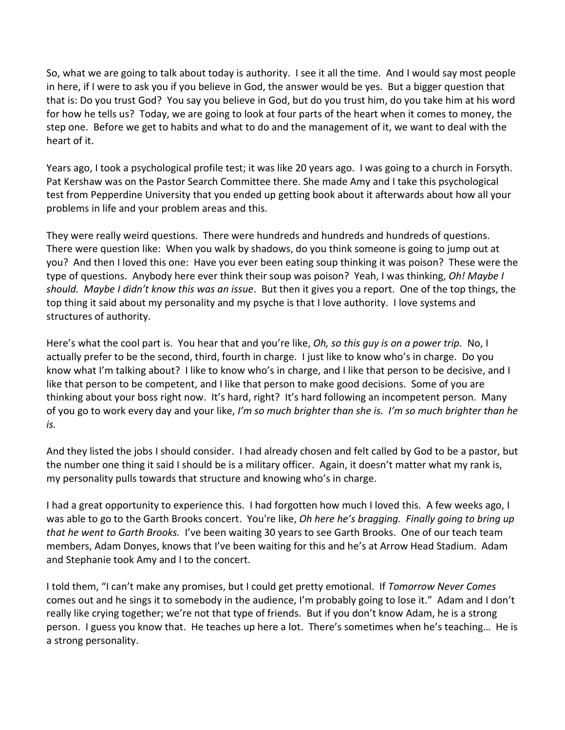So, what we are going to talk about today is authority. I see it all the time. And I would say most people in here, if I were to ask you if you believe in God, the answer would be yes. But a bigger question that that is: Do you trust God? You say you believe in God, but do you trust him, do you take him at his word for how he tells us? Today, we are going to look at four parts of the heart when it comes to money, the step one. Before we get to habits and what to do and the management of it, we want to deal with the heart of it.

Years ago, I took a psychological profile test; it was like 20 years ago. I was going to a church in Forsyth. Pat Kershaw was on the Pastor Search Committee there. She made Amy and I take this psychological test from Pepperdine University that you ended up getting book about it afterwards about how all your problems in life and your problem areas and this.

They were really weird questions. There were hundreds and hundreds and hundreds of questions. There were question like: When you walk by shadows, do you think someone is going to jump out at you? And then I loved this one: Have you ever been eating soup thinking it was poison? These were the type of questions. Anybody here ever think their soup was poison? Yeah, I was thinking, *Oh! Maybe I should. Maybe I didn't know this was an issue*. But then it gives you a report. One of the top things, the top thing it said about my personality and my psyche is that I love authority. I love systems and structures of authority.

Here's what the cool part is. You hear that and you're like, *Oh, so this guy is on a power trip.* No, I actually prefer to be the second, third, fourth in charge. I just like to know who's in charge. Do you know what I'm talking about? I like to know who's in charge, and I like that person to be decisive, and I like that person to be competent, and I like that person to make good decisions. Some of you are thinking about your boss right now. It's hard, right? It's hard following an incompetent person. Many of you go to work every day and your like, *I'm so much brighter than she is. I'm so much brighter than he is.* 

And they listed the jobs I should consider. I had already chosen and felt called by God to be a pastor, but the number one thing it said I should be is a military officer. Again, it doesn't matter what my rank is, my personality pulls towards that structure and knowing who's in charge.

I had a great opportunity to experience this. I had forgotten how much I loved this. A few weeks ago, I was able to go to the Garth Brooks concert. You're like, *Oh here he's bragging. Finally going to bring up that he went to Garth Brooks.* I've been waiting 30 years to see Garth Brooks. One of our teach team members, Adam Donyes, knows that I've been waiting for this and he's at Arrow Head Stadium. Adam and Stephanie took Amy and I to the concert.

I told them, "I can't make any promises, but I could get pretty emotional. If *Tomorrow Never Comes* comes out and he sings it to somebody in the audience, I'm probably going to lose it." Adam and I don't really like crying together; we're not that type of friends. But if you don't know Adam, he is a strong person. I guess you know that. He teaches up here a lot. There's sometimes when he's teaching… He is a strong personality.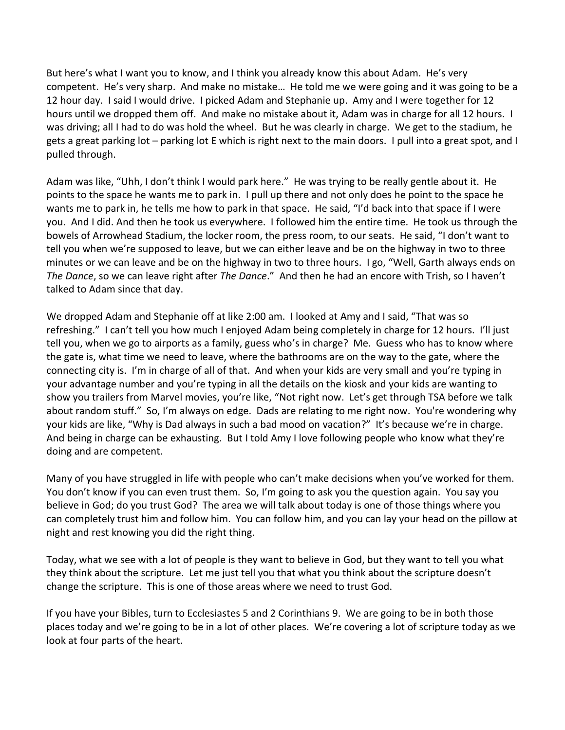But here's what I want you to know, and I think you already know this about Adam. He's very competent. He's very sharp. And make no mistake… He told me we were going and it was going to be a 12 hour day. I said I would drive. I picked Adam and Stephanie up. Amy and I were together for 12 hours until we dropped them off. And make no mistake about it, Adam was in charge for all 12 hours. I was driving; all I had to do was hold the wheel. But he was clearly in charge. We get to the stadium, he gets a great parking lot – parking lot E which is right next to the main doors. I pull into a great spot, and I pulled through.

Adam was like, "Uhh, I don't think I would park here." He was trying to be really gentle about it. He points to the space he wants me to park in. I pull up there and not only does he point to the space he wants me to park in, he tells me how to park in that space. He said, "I'd back into that space if I were you. And I did. And then he took us everywhere. I followed him the entire time. He took us through the bowels of Arrowhead Stadium, the locker room, the press room, to our seats. He said, "I don't want to tell you when we're supposed to leave, but we can either leave and be on the highway in two to three minutes or we can leave and be on the highway in two to three hours. I go, "Well, Garth always ends on *The Dance*, so we can leave right after *The Dance*." And then he had an encore with Trish, so I haven't talked to Adam since that day.

We dropped Adam and Stephanie off at like 2:00 am. I looked at Amy and I said, "That was so refreshing." I can't tell you how much I enjoyed Adam being completely in charge for 12 hours. I'll just tell you, when we go to airports as a family, guess who's in charge? Me. Guess who has to know where the gate is, what time we need to leave, where the bathrooms are on the way to the gate, where the connecting city is. I'm in charge of all of that. And when your kids are very small and you're typing in your advantage number and you're typing in all the details on the kiosk and your kids are wanting to show you trailers from Marvel movies, you're like, "Not right now. Let's get through TSA before we talk about random stuff." So, I'm always on edge. Dads are relating to me right now. You're wondering why your kids are like, "Why is Dad always in such a bad mood on vacation?" It's because we're in charge. And being in charge can be exhausting. But I told Amy I love following people who know what they're doing and are competent.

Many of you have struggled in life with people who can't make decisions when you've worked for them. You don't know if you can even trust them. So, I'm going to ask you the question again. You say you believe in God; do you trust God? The area we will talk about today is one of those things where you can completely trust him and follow him. You can follow him, and you can lay your head on the pillow at night and rest knowing you did the right thing.

Today, what we see with a lot of people is they want to believe in God, but they want to tell you what they think about the scripture. Let me just tell you that what you think about the scripture doesn't change the scripture. This is one of those areas where we need to trust God.

If you have your Bibles, turn to Ecclesiastes 5 and 2 Corinthians 9. We are going to be in both those places today and we're going to be in a lot of other places. We're covering a lot of scripture today as we look at four parts of the heart.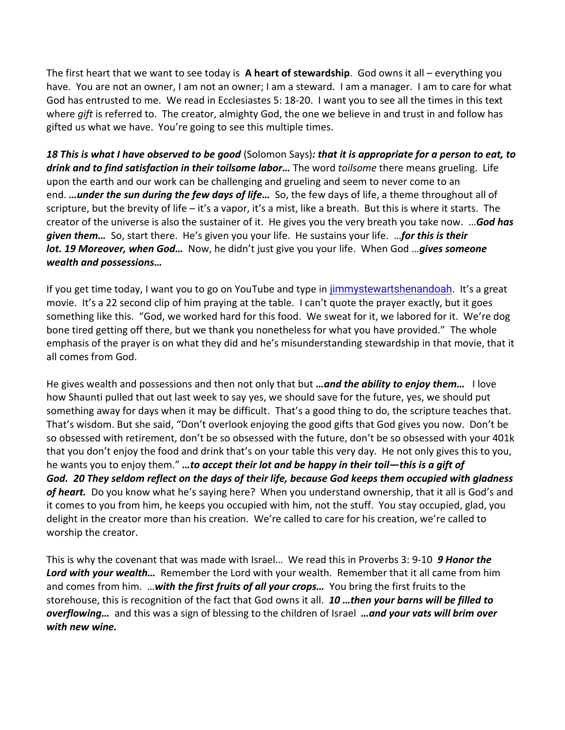The first heart that we want to see today is **A heart of stewardship**. God owns it all – everything you have. You are not an owner, I am not an owner; I am a steward. I am a manager. I am to care for what God has entrusted to me. We read in Ecclesiastes 5: 18-20. I want you to see all the times in this text where *gift* is referred to. The creator, almighty God, the one we believe in and trust in and follow has gifted us what we have. You're going to see this multiple times.

*18 This is what I have observed to be good* (Solomon Says)*: that it is appropriate for a person to eat, to drink and to find satisfaction in their toilsome labor…* The word *toilsome* there means grueling. Life upon the earth and our work can be challenging and grueling and seem to never come to an end. *…under the sun during the few days of life…* So, the few days of life, a theme throughout all of scripture, but the brevity of life – it's a vapor, it's a mist, like a breath. But this is where it starts. The creator of the universe is also the sustainer of it. He gives you the very breath you take now. …*God has given them…* So, start there. He's given you your life. He sustains your life. …*for this is their lot. 19 Moreover, when God…* Now, he didn't just give you your life. When God …*gives someone wealth and possessions…*

If you get time today, I want you to go on YouTube and type in [jimmystewartshenandoah](https://www.google.com/search?rlz=1C1CHBF_enUS876US876&sxsrf=AOaemvLXdxZ65x1NtXOiolzy0mWhOFMEVQ:1630358426185&q=jimmystewartshenandoah&nfpr=1&sa=X&ved=2ahUKEwiG-eS21tnyAhUOHc0KHVIbCBYQvgUoAXoECAEQMw). It's a great movie. It's a 22 second clip of him praying at the table. I can't quote the prayer exactly, but it goes something like this. "God, we worked hard for this food. We sweat for it, we labored for it. We're dog bone tired getting off there, but we thank you nonetheless for what you have provided." The whole emphasis of the prayer is on what they did and he's misunderstanding stewardship in that movie, that it all comes from God.

He gives wealth and possessions and then not only that but *…and the ability to enjoy them…* I love how Shaunti pulled that out last week to say yes, we should save for the future, yes, we should put something away for days when it may be difficult. That's a good thing to do, the scripture teaches that. That's wisdom. But she said, "Don't overlook enjoying the good gifts that God gives you now. Don't be so obsessed with retirement, don't be so obsessed with the future, don't be so obsessed with your 401k that you don't enjoy the food and drink that's on your table this very day. He not only gives this to you, he wants you to enjoy them." *…to accept their lot and be happy in their toil—this is a gift of God. 20 They seldom reflect on the days of their life, because God keeps them occupied with gladness of heart.* Do you know what he's saying here? When you understand ownership, that it all is God's and it comes to you from him, he keeps you occupied with him, not the stuff. You stay occupied, glad, you delight in the creator more than his creation. We're called to care for his creation, we're called to worship the creator.

This is why the covenant that was made with Israel… We read this in Proverbs 3: 9-10 *9 Honor the Lord with your wealth…* Remember the Lord with your wealth. Remember that it all came from him and comes from him. …*with the first fruits of all your crops…* You bring the first fruits to the storehouse, this is recognition of the fact that God owns it all. *10 …then your barns will be filled to overflowing…* and this was a sign of blessing to the children of Israel *…and your vats will brim over with new wine.*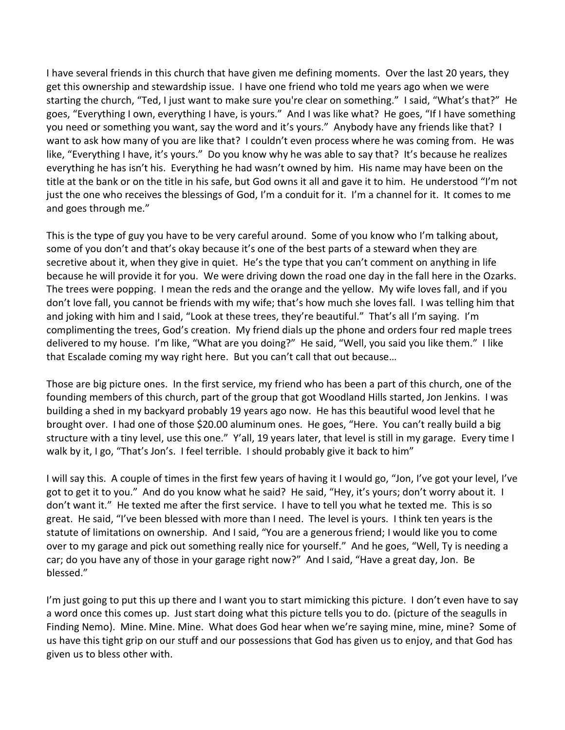I have several friends in this church that have given me defining moments. Over the last 20 years, they get this ownership and stewardship issue. I have one friend who told me years ago when we were starting the church, "Ted, I just want to make sure you're clear on something." I said, "What's that?" He goes, "Everything I own, everything I have, is yours." And I was like what? He goes, "If I have something you need or something you want, say the word and it's yours." Anybody have any friends like that? I want to ask how many of you are like that? I couldn't even process where he was coming from. He was like, "Everything I have, it's yours." Do you know why he was able to say that? It's because he realizes everything he has isn't his. Everything he had wasn't owned by him. His name may have been on the title at the bank or on the title in his safe, but God owns it all and gave it to him. He understood "I'm not just the one who receives the blessings of God, I'm a conduit for it. I'm a channel for it. It comes to me and goes through me."

This is the type of guy you have to be very careful around. Some of you know who I'm talking about, some of you don't and that's okay because it's one of the best parts of a steward when they are secretive about it, when they give in quiet. He's the type that you can't comment on anything in life because he will provide it for you. We were driving down the road one day in the fall here in the Ozarks. The trees were popping. I mean the reds and the orange and the yellow. My wife loves fall, and if you don't love fall, you cannot be friends with my wife; that's how much she loves fall. I was telling him that and joking with him and I said, "Look at these trees, they're beautiful." That's all I'm saying. I'm complimenting the trees, God's creation. My friend dials up the phone and orders four red maple trees delivered to my house. I'm like, "What are you doing?" He said, "Well, you said you like them." I like that Escalade coming my way right here. But you can't call that out because…

Those are big picture ones. In the first service, my friend who has been a part of this church, one of the founding members of this church, part of the group that got Woodland Hills started, Jon Jenkins. I was building a shed in my backyard probably 19 years ago now. He has this beautiful wood level that he brought over. I had one of those \$20.00 aluminum ones. He goes, "Here. You can't really build a big structure with a tiny level, use this one." Y'all, 19 years later, that level is still in my garage. Every time I walk by it, I go, "That's Jon's. I feel terrible. I should probably give it back to him"

I will say this. A couple of times in the first few years of having it I would go, "Jon, I've got your level, I've got to get it to you." And do you know what he said? He said, "Hey, it's yours; don't worry about it. I don't want it." He texted me after the first service. I have to tell you what he texted me. This is so great. He said, "I've been blessed with more than I need. The level is yours. I think ten years is the statute of limitations on ownership. And I said, "You are a generous friend; I would like you to come over to my garage and pick out something really nice for yourself." And he goes, "Well, Ty is needing a car; do you have any of those in your garage right now?" And I said, "Have a great day, Jon. Be blessed."

I'm just going to put this up there and I want you to start mimicking this picture. I don't even have to say a word once this comes up. Just start doing what this picture tells you to do. (picture of the seagulls in Finding Nemo). Mine. Mine. Mine. What does God hear when we're saying mine, mine, mine? Some of us have this tight grip on our stuff and our possessions that God has given us to enjoy, and that God has given us to bless other with.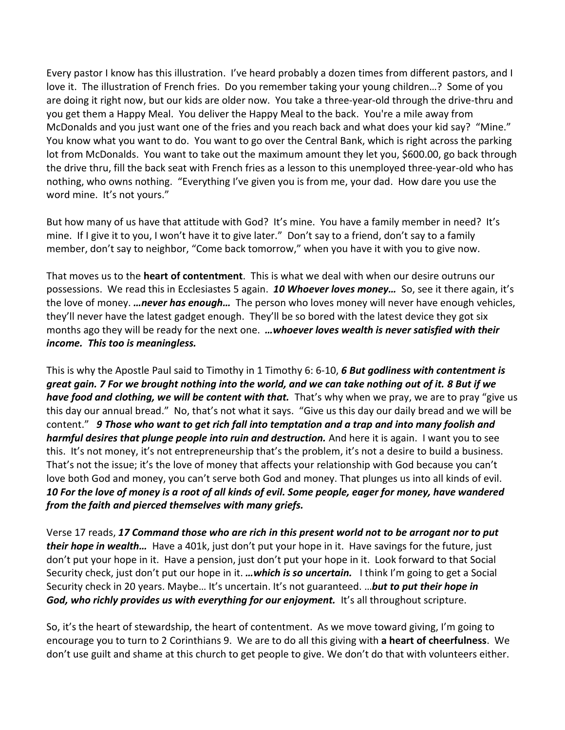Every pastor I know has this illustration. I've heard probably a dozen times from different pastors, and I love it. The illustration of French fries. Do you remember taking your young children…? Some of you are doing it right now, but our kids are older now. You take a three-year-old through the drive-thru and you get them a Happy Meal. You deliver the Happy Meal to the back. You're a mile away from McDonalds and you just want one of the fries and you reach back and what does your kid say? "Mine." You know what you want to do. You want to go over the Central Bank, which is right across the parking lot from McDonalds. You want to take out the maximum amount they let you, \$600.00, go back through the drive thru, fill the back seat with French fries as a lesson to this unemployed three-year-old who has nothing, who owns nothing. "Everything I've given you is from me, your dad. How dare you use the word mine. It's not yours."

But how many of us have that attitude with God? It's mine. You have a family member in need? It's mine. If I give it to you, I won't have it to give later." Don't say to a friend, don't say to a family member, don't say to neighbor, "Come back tomorrow," when you have it with you to give now.

That moves us to the **heart of contentment**. This is what we deal with when our desire outruns our possessions. We read this in Ecclesiastes 5 again. *10 Whoever loves money…* So, see it there again, it's the love of money. *…never has enough…* The person who loves money will never have enough vehicles, they'll never have the latest gadget enough. They'll be so bored with the latest device they got six months ago they will be ready for the next one. *…whoever loves wealth is never satisfied with their income. This too is meaningless.*

This is why the Apostle Paul said to Timothy in 1 Timothy 6: 6-10, *6 But godliness with contentment is great gain. 7 For we brought nothing into the world, and we can take nothing out of it. 8 But if we have food and clothing, we will be content with that.* That's why when we pray, we are to pray "give us this day our annual bread." No, that's not what it says. "Give us this day our daily bread and we will be content." *9 Those who want to get rich fall into temptation and a trap and into many foolish and harmful desires that plunge people into ruin and destruction.* And here it is again. I want you to see this. It's not money, it's not entrepreneurship that's the problem, it's not a desire to build a business. That's not the issue; it's the love of money that affects your relationship with God because you can't love both God and money, you can't serve both God and money. That plunges us into all kinds of evil. *10 For the love of money is a root of all kinds of evil. Some people, eager for money, have wandered from the faith and pierced themselves with many griefs.*

Verse 17 reads, *17 Command those who are rich in this present world not to be arrogant nor to put their hope in wealth…* Have a 401k, just don't put your hope in it. Have savings for the future, just don't put your hope in it. Have a pension, just don't put your hope in it. Look forward to that Social Security check, just don't put our hope in it. *…which is so uncertain.* I think I'm going to get a Social Security check in 20 years. Maybe… It's uncertain. It's not guaranteed. …*but to put their hope in*  **God, who richly provides us with everything for our enjoyment.** It's all throughout scripture.

So, it's the heart of stewardship, the heart of contentment. As we move toward giving, I'm going to encourage you to turn to 2 Corinthians 9. We are to do all this giving with **a heart of cheerfulness**. We don't use guilt and shame at this church to get people to give. We don't do that with volunteers either.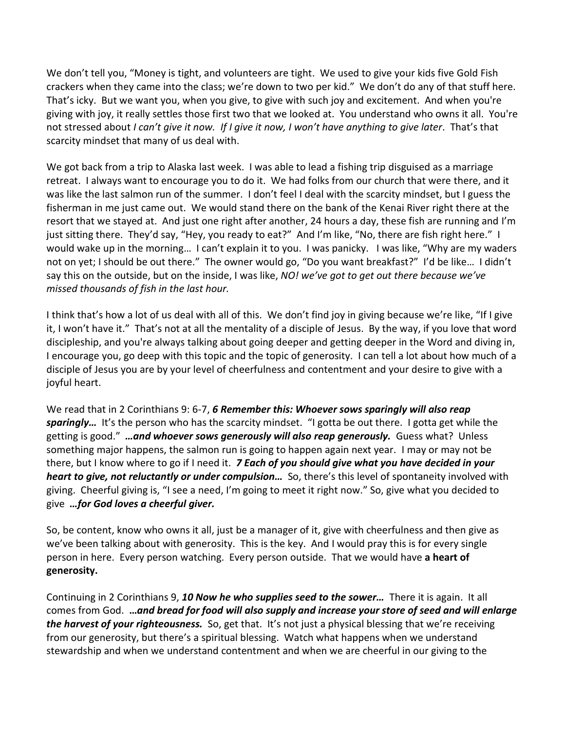We don't tell you, "Money is tight, and volunteers are tight. We used to give your kids five Gold Fish crackers when they came into the class; we're down to two per kid." We don't do any of that stuff here. That's icky. But we want you, when you give, to give with such joy and excitement. And when you're giving with joy, it really settles those first two that we looked at. You understand who owns it all. You're not stressed about *I can't give it now. If I give it now, I won't have anything to give later*. That's that scarcity mindset that many of us deal with.

We got back from a trip to Alaska last week. I was able to lead a fishing trip disguised as a marriage retreat. I always want to encourage you to do it. We had folks from our church that were there, and it was like the last salmon run of the summer. I don't feel I deal with the scarcity mindset, but I guess the fisherman in me just came out. We would stand there on the bank of the Kenai River right there at the resort that we stayed at. And just one right after another, 24 hours a day, these fish are running and I'm just sitting there. They'd say, "Hey, you ready to eat?" And I'm like, "No, there are fish right here." I would wake up in the morning… I can't explain it to you. I was panicky. I was like, "Why are my waders not on yet; I should be out there." The owner would go, "Do you want breakfast?" I'd be like… I didn't say this on the outside, but on the inside, I was like, *NO! we've got to get out there because we've missed thousands of fish in the last hour.*

I think that's how a lot of us deal with all of this. We don't find joy in giving because we're like, "If I give it, I won't have it." That's not at all the mentality of a disciple of Jesus. By the way, if you love that word discipleship, and you're always talking about going deeper and getting deeper in the Word and diving in, I encourage you, go deep with this topic and the topic of generosity. I can tell a lot about how much of a disciple of Jesus you are by your level of cheerfulness and contentment and your desire to give with a joyful heart.

We read that in 2 Corinthians 9: 6-7, *6 Remember this: Whoever sows sparingly will also reap sparingly…* It's the person who has the scarcity mindset. "I gotta be out there. I gotta get while the getting is good." *…and whoever sows generously will also reap generously.* Guess what? Unless something major happens, the salmon run is going to happen again next year. I may or may not be there, but I know where to go if I need it. *7 Each of you should give what you have decided in your heart to give, not reluctantly or under compulsion…* So, there's this level of spontaneity involved with giving. Cheerful giving is, "I see a need, I'm going to meet it right now." So, give what you decided to give *…for God loves a cheerful giver.*

So, be content, know who owns it all, just be a manager of it, give with cheerfulness and then give as we've been talking about with generosity. This is the key. And I would pray this is for every single person in here. Every person watching. Every person outside. That we would have **a heart of generosity.**

Continuing in 2 Corinthians 9, *10 Now he who supplies seed to the sower…* There it is again. It all comes from God. **…***and bread for food will also supply and increase your store of seed and will enlarge the harvest of your righteousness.* So, get that. It's not just a physical blessing that we're receiving from our generosity, but there's a spiritual blessing. Watch what happens when we understand stewardship and when we understand contentment and when we are cheerful in our giving to the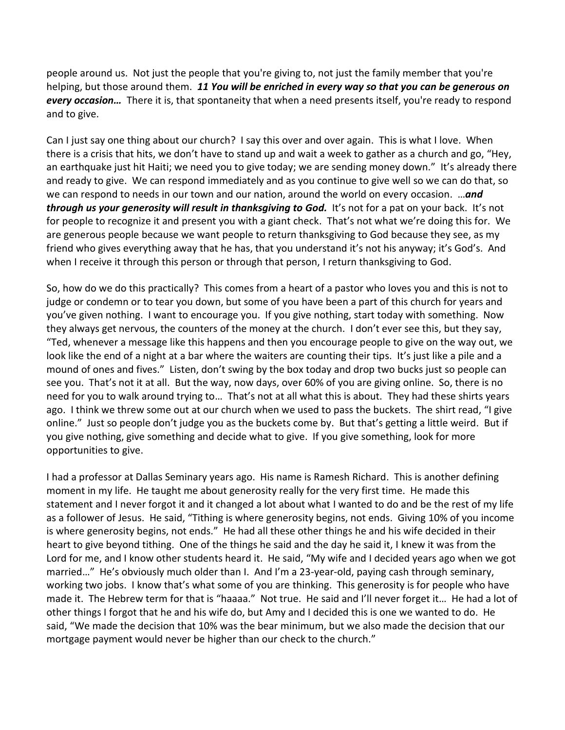people around us. Not just the people that you're giving to, not just the family member that you're helping, but those around them. *11 You will be enriched in every way so that you can be generous on every occasion…* There it is, that spontaneity that when a need presents itself, you're ready to respond and to give.

Can I just say one thing about our church? I say this over and over again. This is what I love. When there is a crisis that hits, we don't have to stand up and wait a week to gather as a church and go, "Hey, an earthquake just hit Haiti; we need you to give today; we are sending money down." It's already there and ready to give. We can respond immediately and as you continue to give well so we can do that, so we can respond to needs in our town and our nation, around the world on every occasion. …*and through us your generosity will result in thanksgiving to God.* It's not for a pat on your back. It's not for people to recognize it and present you with a giant check. That's not what we're doing this for. We are generous people because we want people to return thanksgiving to God because they see, as my friend who gives everything away that he has, that you understand it's not his anyway; it's God's. And when I receive it through this person or through that person, I return thanksgiving to God.

So, how do we do this practically? This comes from a heart of a pastor who loves you and this is not to judge or condemn or to tear you down, but some of you have been a part of this church for years and you've given nothing. I want to encourage you. If you give nothing, start today with something. Now they always get nervous, the counters of the money at the church. I don't ever see this, but they say, "Ted, whenever a message like this happens and then you encourage people to give on the way out, we look like the end of a night at a bar where the waiters are counting their tips. It's just like a pile and a mound of ones and fives." Listen, don't swing by the box today and drop two bucks just so people can see you. That's not it at all. But the way, now days, over 60% of you are giving online. So, there is no need for you to walk around trying to… That's not at all what this is about. They had these shirts years ago. I think we threw some out at our church when we used to pass the buckets. The shirt read, "I give online." Just so people don't judge you as the buckets come by. But that's getting a little weird. But if you give nothing, give something and decide what to give. If you give something, look for more opportunities to give.

I had a professor at Dallas Seminary years ago. His name is Ramesh Richard. This is another defining moment in my life. He taught me about generosity really for the very first time. He made this statement and I never forgot it and it changed a lot about what I wanted to do and be the rest of my life as a follower of Jesus. He said, "Tithing is where generosity begins, not ends. Giving 10% of you income is where generosity begins, not ends." He had all these other things he and his wife decided in their heart to give beyond tithing. One of the things he said and the day he said it, I knew it was from the Lord for me, and I know other students heard it. He said, "My wife and I decided years ago when we got married…" He's obviously much older than I. And I'm a 23-year-old, paying cash through seminary, working two jobs. I know that's what some of you are thinking. This generosity is for people who have made it. The Hebrew term for that is "haaaa." Not true. He said and I'll never forget it… He had a lot of other things I forgot that he and his wife do, but Amy and I decided this is one we wanted to do. He said, "We made the decision that 10% was the bear minimum, but we also made the decision that our mortgage payment would never be higher than our check to the church."